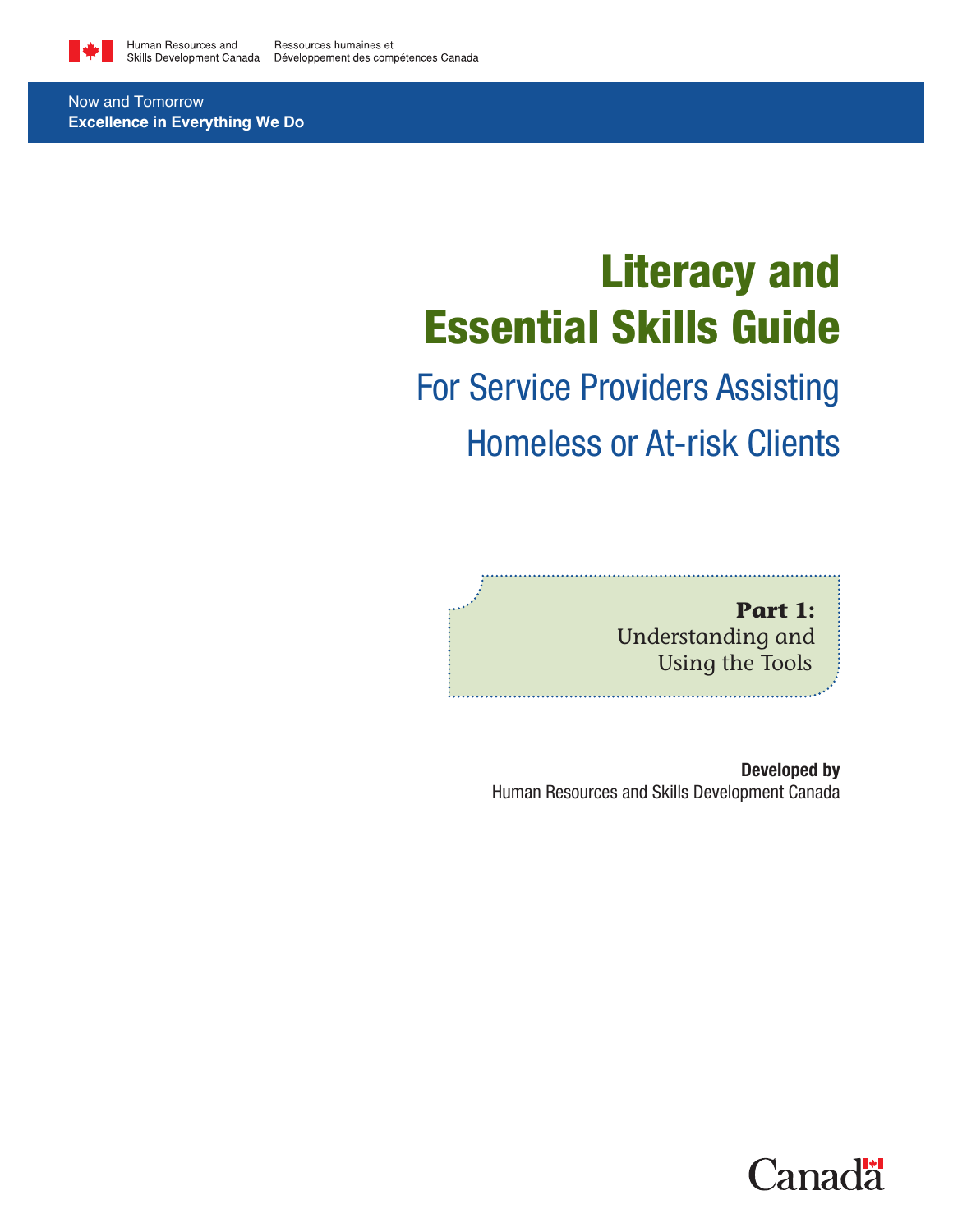

Now and Tomorrow **Excellence in Everything We Do**

# Literacy and Essential Skills Guide

# For Service Providers Assisting Homeless or At-risk Clients

**Part 1:**  Understanding and Using the Tools

Developed by Human Resources and Skills Development Canada

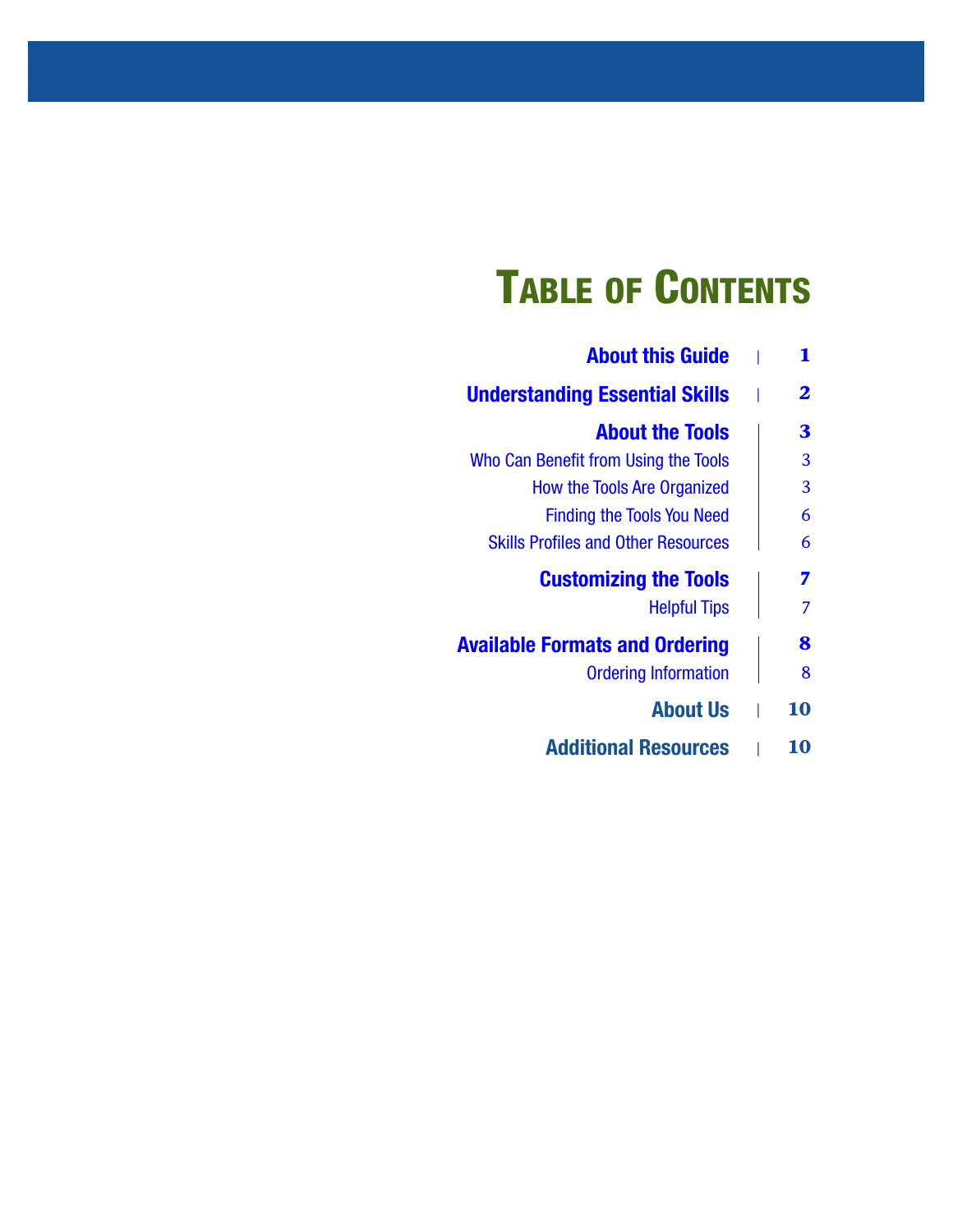# Table of Contents

| <b>About this Guide</b>                    |
|--------------------------------------------|
| <b>Understanding Essential Skills</b>      |
| <b>About the Tools</b>                     |
| Who Can Benefit from Using the Tools       |
| <b>How the Tools Are Organized</b>         |
| <b>Finding the Tools You Need</b>          |
| <b>Skills Profiles and Other Resources</b> |
| <b>Customizing the Tools</b>               |
| <b>Helpful Tips</b>                        |
| <b>Available Formats and Ordering</b>      |
| <b>Ordering Information</b>                |
| <b>About Us</b>                            |
| <b>Additional Resources</b>                |
|                                            |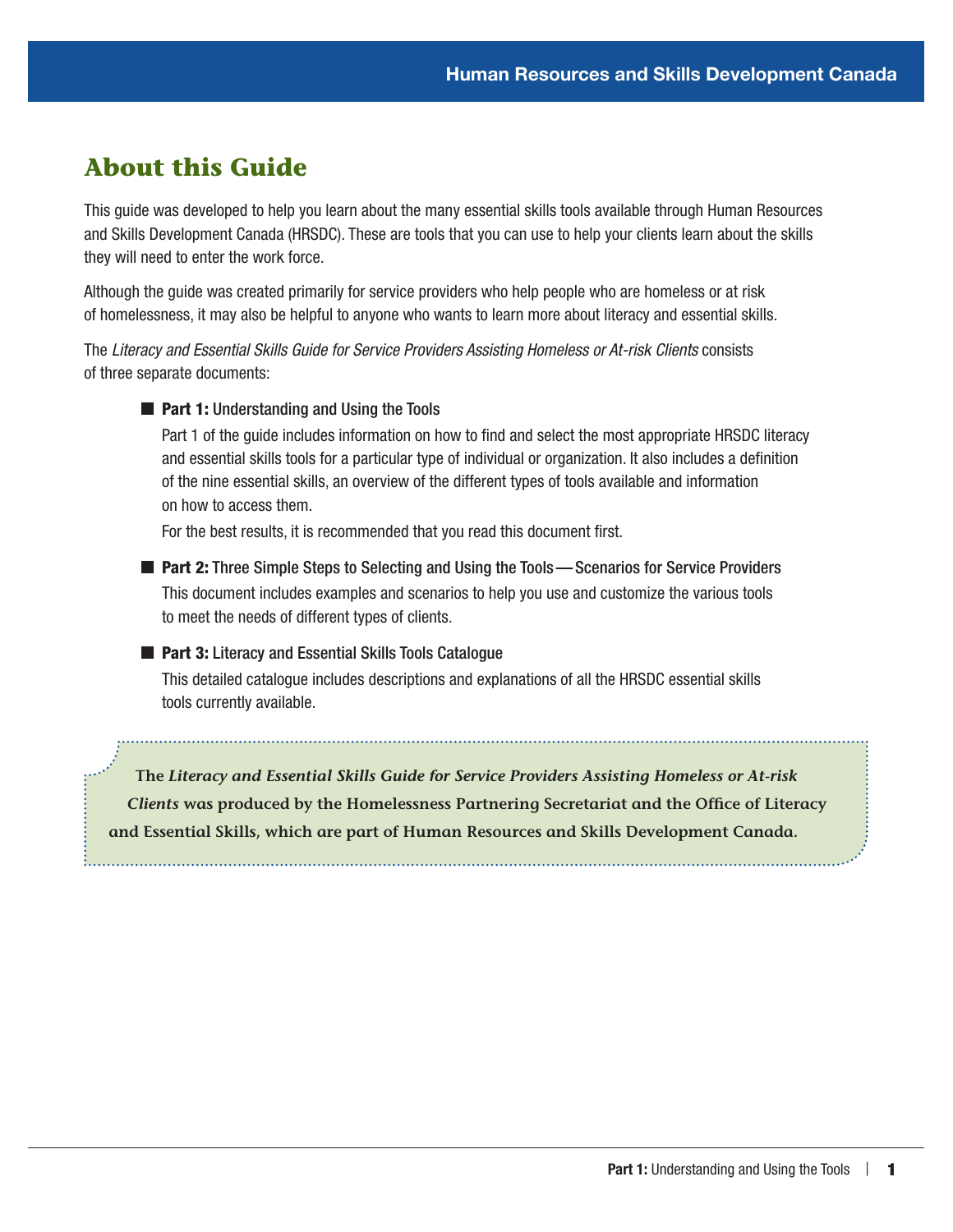## <span id="page-4-0"></span>**About this Guide**

This guide was developed to help you learn about the many essential skills tools available through Human Resources and Skills Development Canada (HRSDC). These are tools that you can use to help your clients learn about the skills they will need to enter the work force.

Although the guide was created primarily for service providers who help people who are homeless or at risk of homelessness, it may also be helpful to anyone who wants to learn more about literacy and essential skills.

The *Literacy and Essential Skills Guide for Service Providers Assisting Homeless or At-risk Clients* consists of three separate documents:

**Part 1: Understanding and Using the Tools** 

Part 1 of the guide includes information on how to find and select the most appropriate HRSDC literacy and essential skills tools for a particular type of individual or organization. It also includes a definition of the nine essential skills, an overview of the different types of tools available and information on how to access them.

For the best results, it is recommended that you read this document first.

■ Part 2: Three Simple Steps to Selecting and Using the Tools—Scenarios for Service Providers This document includes examples and scenarios to help you use and customize the various tools to meet the needs of different types of clients.

#### ■ Part 3: Literacy and Essential Skills Tools Catalogue

This detailed catalogue includes descriptions and explanations of all the HRSDC essential skills tools currently available.

**The** *Literacy and Essential Skills Guide for Service Providers Assisting Homeless or At-risk Clients* **was produced by the Homelessness Partnering Secretariat and the Office of Literacy and Essential Skills, which are part of Human Resources and Skills Development Canada.**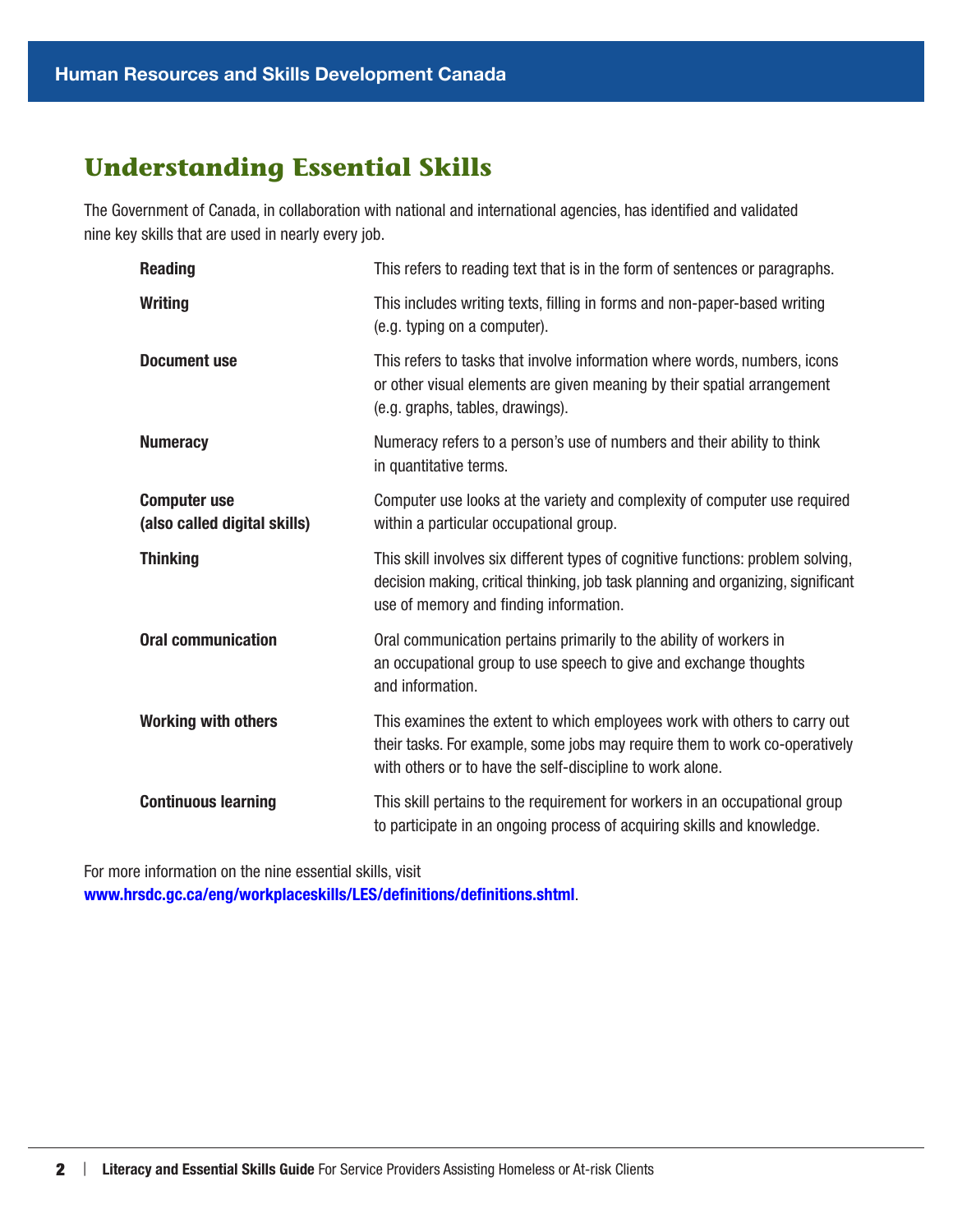## <span id="page-5-0"></span>**Understanding Essential Skills**

The Government of Canada, in collaboration with national and international agencies, has identified and validated nine key skills that are used in nearly every job.

| <b>Reading</b>                                      | This refers to reading text that is in the form of sentences or paragraphs.                                                                                                                                           |
|-----------------------------------------------------|-----------------------------------------------------------------------------------------------------------------------------------------------------------------------------------------------------------------------|
| <b>Writing</b>                                      | This includes writing texts, filling in forms and non-paper-based writing<br>(e.g. typing on a computer).                                                                                                             |
| <b>Document use</b>                                 | This refers to tasks that involve information where words, numbers, icons<br>or other visual elements are given meaning by their spatial arrangement<br>(e.g. graphs, tables, drawings).                              |
| <b>Numeracy</b>                                     | Numeracy refers to a person's use of numbers and their ability to think<br>in quantitative terms.                                                                                                                     |
| <b>Computer use</b><br>(also called digital skills) | Computer use looks at the variety and complexity of computer use required<br>within a particular occupational group.                                                                                                  |
| <b>Thinking</b>                                     | This skill involves six different types of cognitive functions: problem solving,<br>decision making, critical thinking, job task planning and organizing, significant<br>use of memory and finding information.       |
| <b>Oral communication</b>                           | Oral communication pertains primarily to the ability of workers in<br>an occupational group to use speech to give and exchange thoughts<br>and information.                                                           |
| <b>Working with others</b>                          | This examines the extent to which employees work with others to carry out<br>their tasks. For example, some jobs may require them to work co-operatively<br>with others or to have the self-discipline to work alone. |
| <b>Continuous learning</b>                          | This skill pertains to the requirement for workers in an occupational group<br>to participate in an ongoing process of acquiring skills and knowledge.                                                                |

For more information on the nine essential skills, visit [www.hrsdc.gc.ca/eng/workplaceskills/LES/definitions/definitions.shtml](http://www.hrsdc.gc.ca/eng/workplaceskills/LES/definitions/definitions.shtml).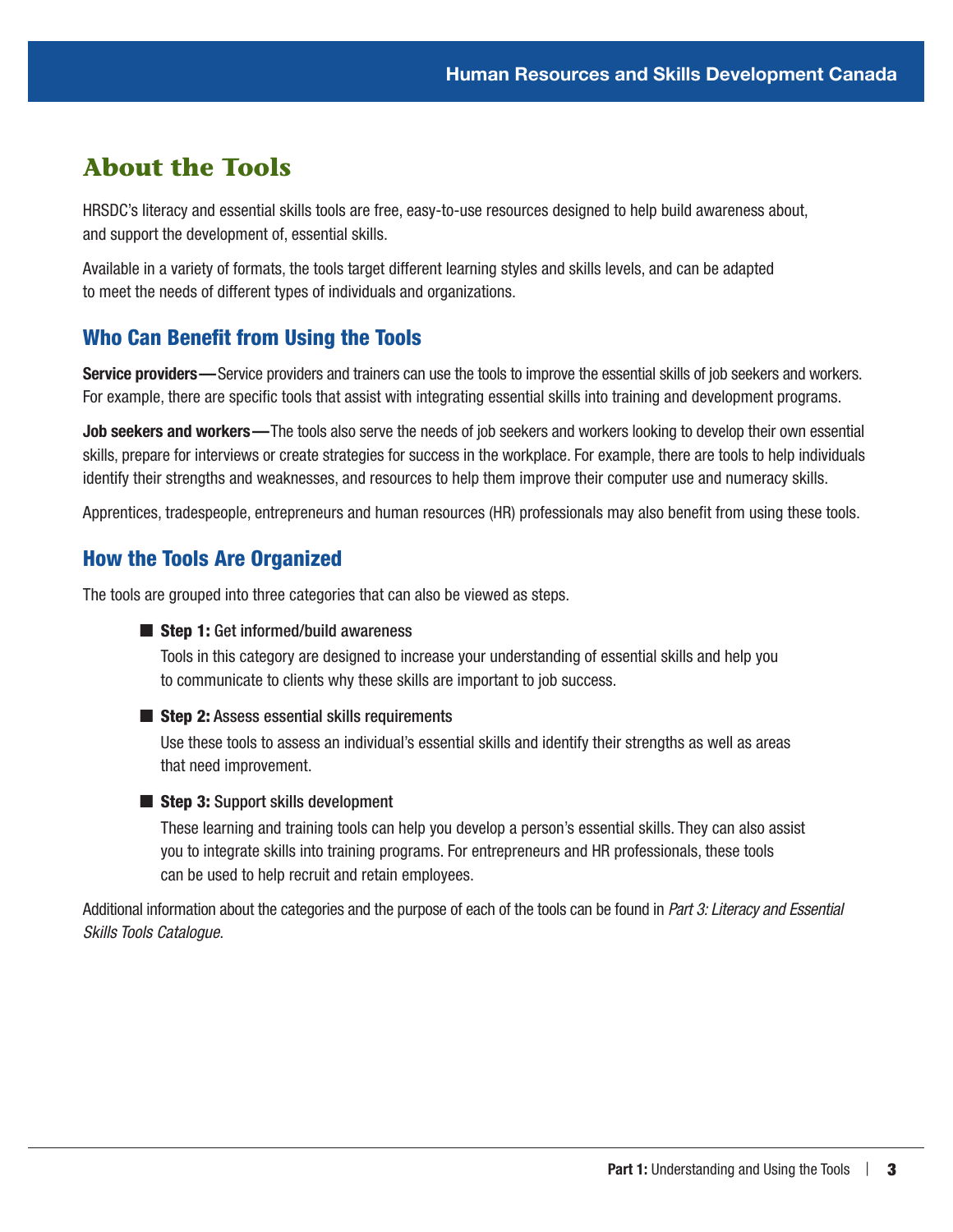## <span id="page-6-0"></span>**About the Tools**

HRSDC's literacy and essential skills tools are free, easy-to-use resources designed to help build awareness about, and support the development of, essential skills.

Available in a variety of formats, the tools target different learning styles and skills levels, and can be adapted to meet the needs of different types of individuals and organizations.

### Who Can Benefit from Using the Tools

Service providers—Service providers and trainers can use the tools to improve the essential skills of job seekers and workers. For example, there are specific tools that assist with integrating essential skills into training and development programs.

Job seekers and workers—The tools also serve the needs of job seekers and workers looking to develop their own essential skills, prepare for interviews or create strategies for success in the workplace. For example, there are tools to help individuals identify their strengths and weaknesses, and resources to help them improve their computer use and numeracy skills.

Apprentices, tradespeople, entrepreneurs and human resources (HR) professionals may also benefit from using these tools.

### How the Tools Are Organized

The tools are grouped into three categories that can also be viewed as steps.

#### ■ Step 1: Get informed/build awareness

Tools in this category are designed to increase your understanding of essential skills and help you to communicate to clients why these skills are important to job success.

#### $\blacksquare$  Step 2: Assess essential skills requirements

Use these tools to assess an individual's essential skills and identify their strengths as well as areas that need improvement.

#### ■ Step 3: Support skills development

These learning and training tools can help you develop a person's essential skills. They can also assist you to integrate skills into training programs. For entrepreneurs and HR professionals, these tools can be used to help recruit and retain employees.

Additional information about the categories and the purpose of each of the tools can be found in *Part 3: Literacy and Essential Skills Tools Catalogue*.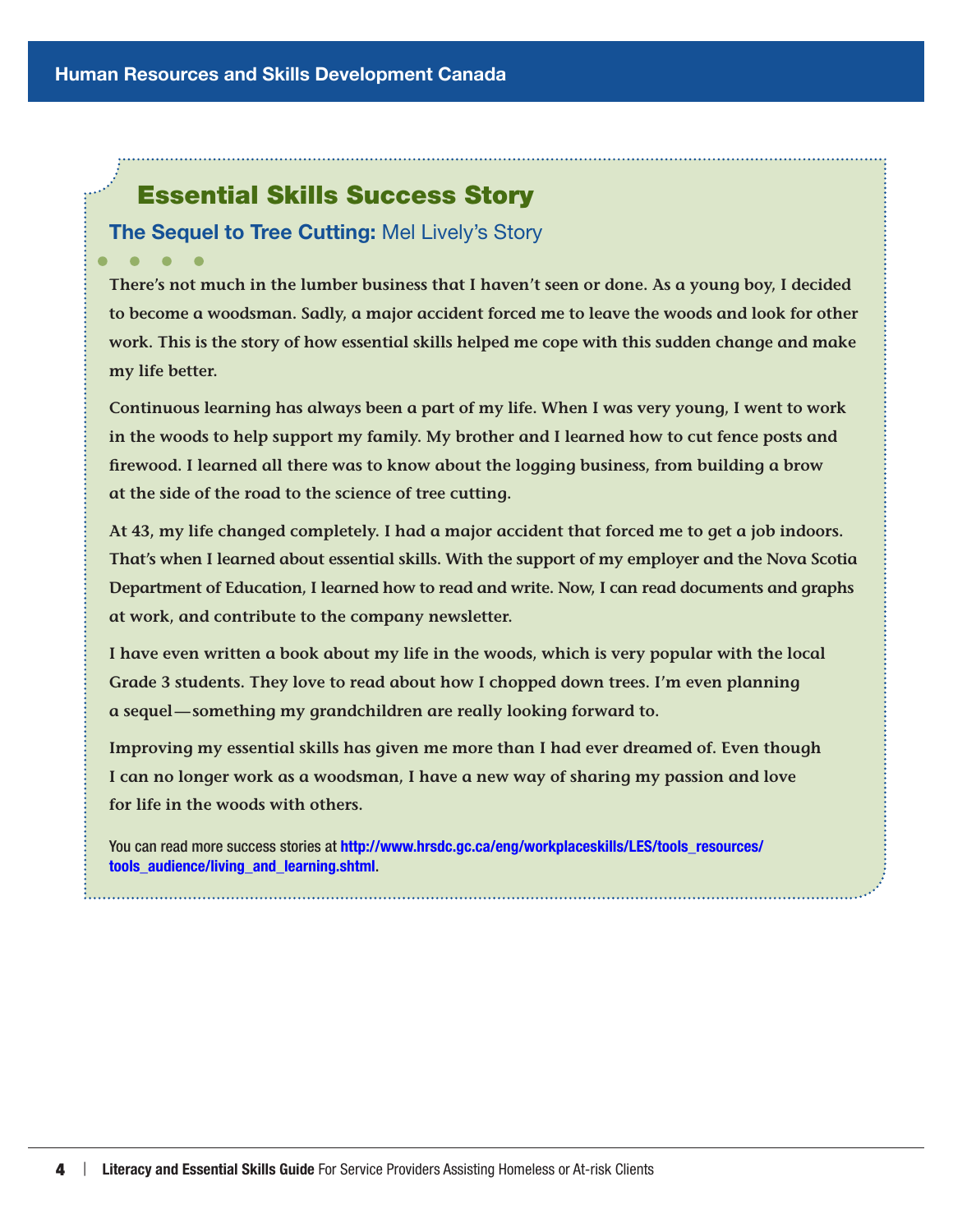## Essential Skills Success Story

## **The Sequel to Tree Cutting: Mel Lively's Story**

**There's not much in the lumber business that I haven't seen or done. As a young boy, I decided to become a woodsman. Sadly, a major accident forced me to leave the woods and look for other work. This is the story of how essential skills helped me cope with this sudden change and make my life better.**

**Continuous learning has always been a part of my life. When I was very young, I went to work in the woods to help support my family. My brother and I learned how to cut fence posts and firewood. I learned all there was to know about the logging business, from building a brow at the side of the road to the science of tree cutting.**

**At 43, my life changed completely. I had a major accident that forced me to get a job indoors. That's when I learned about essential skills. With the support of my employer and the Nova Scotia Department of Education, I learned how to read and write. Now, I can read documents and graphs at work, and contribute to the company newsletter.**

**I have even written a book about my life in the woods, which is very popular with the local Grade 3 students. They love to read about how I chopped down trees. I'm even planning a sequel—something my grandchildren are really looking forward to.**

**Improving my essential skills has given me more than I had ever dreamed of. Even though I can no longer work as a woodsman, I have a new way of sharing my passion and love for life in the woods with others.**

You can read more success stories at [http://www.hrsdc.gc.ca/eng/workplaceskills/LES/tools\\_resources/](http://www.hrsdc.gc.ca/eng/workplaceskills/LES/tools_resources/tools_audience/living_and_learning.shtml) [tools\\_audience/living\\_and\\_learning.shtml](http://www.hrsdc.gc.ca/eng/workplaceskills/LES/tools_resources/tools_audience/living_and_learning.shtml).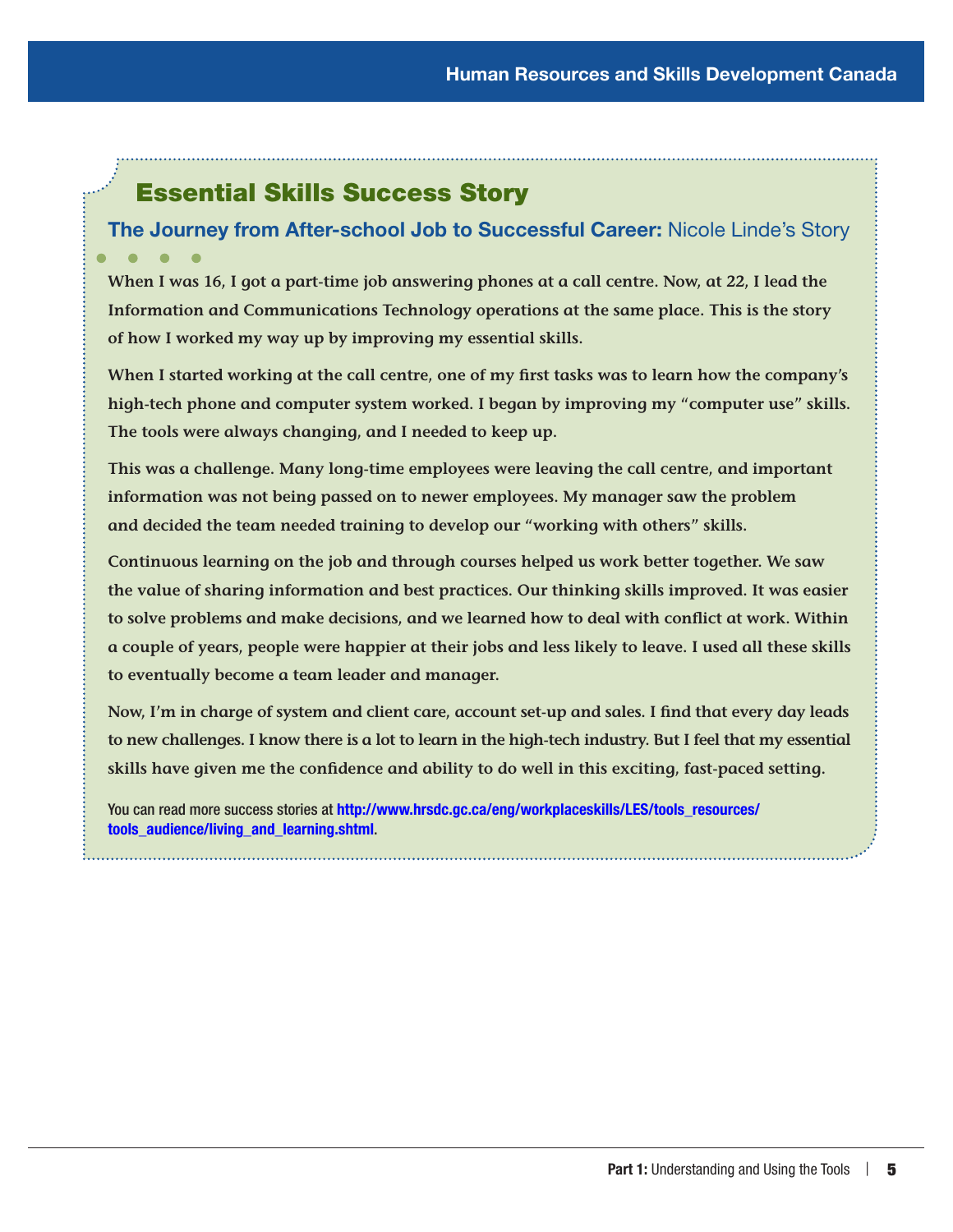# Essential Skills Success Story

# The Journey from After-school Job to Successful Career: Nicole Linde's Story

**When I was 16, I got a part-time job answering phones at a call centre. Now, at 22, I lead the Information and Communications Technology operations at the same place. This is the story of how I worked my way up by improving my essential skills.**

**When I started working at the call centre, one of my first tasks was to learn how the company's high-tech phone and computer system worked. I began by improving my "computer use" skills. The tools were always changing, and I needed to keep up.**

**This was a challenge. Many long-time employees were leaving the call centre, and important information was not being passed on to newer employees. My manager saw the problem and decided the team needed training to develop our "working with others" skills.**

**Continuous learning on the job and through courses helped us work better together. We saw the value of sharing information and best practices. Our thinking skills improved. It was easier to solve problems and make decisions, and we learned how to deal with conflict at work. Within a couple of years, people were happier at their jobs and less likely to leave. I used all these skills to eventually become a team leader and manager.**

**Now, I'm in charge of system and client care, account set-up and sales. I find that every day leads to new challenges. I know there is a lot to learn in the high-tech industry. But I feel that my essential skills have given me the confidence and ability to do well in this exciting, fast-paced setting.**

You can read more success stories at [http://www.hrsdc.gc.ca/eng/workplaceskills/LES/tools\\_resources/](http://www.hrsdc.gc.ca/eng/workplaceskills/LES/tools_resources/tools_audience/living_and_learning.shtml) [tools\\_audience/living\\_and\\_learning.shtml](http://www.hrsdc.gc.ca/eng/workplaceskills/LES/tools_resources/tools_audience/living_and_learning.shtml).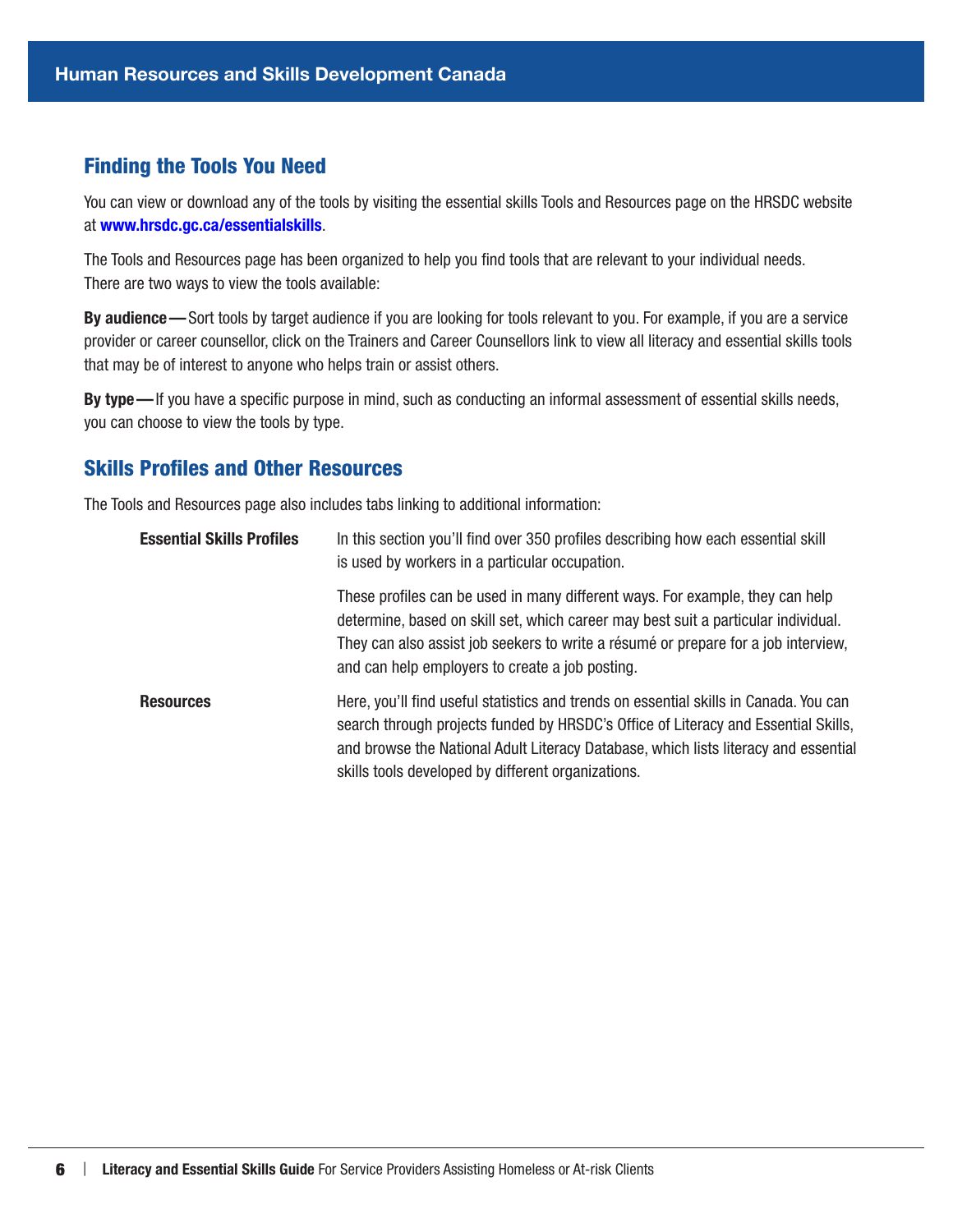#### <span id="page-9-0"></span>Finding the Tools You Need

You can view or download any of the tools by visiting the essential skills Tools and Resources page on the HRSDC website at [www.hrsdc.gc.ca/essentialskills](http://www.hrsdc.gc.ca/essentialskills).

The Tools and Resources page has been organized to help you find tools that are relevant to your individual needs. There are two ways to view the tools available:

By audience—Sort tools by target audience if you are looking for tools relevant to you. For example, if you are a service provider or career counsellor, click on the Trainers and Career Counsellors link to view all literacy and essential skills tools that may be of interest to anyone who helps train or assist others.

By type—If you have a specific purpose in mind, such as conducting an informal assessment of essential skills needs, you can choose to view the tools by type.

### Skills Profiles and Other Resources

The Tools and Resources page also includes tabs linking to additional information:

| <b>Essential Skills Profiles</b> | In this section you'll find over 350 profiles describing how each essential skill<br>is used by workers in a particular occupation.                                                                                                                                                                                      |
|----------------------------------|--------------------------------------------------------------------------------------------------------------------------------------------------------------------------------------------------------------------------------------------------------------------------------------------------------------------------|
|                                  | These profiles can be used in many different ways. For example, they can help<br>determine, based on skill set, which career may best suit a particular individual.<br>They can also assist job seekers to write a résumé or prepare for a job interview,<br>and can help employers to create a job posting.             |
| <b>Resources</b>                 | Here, you'll find useful statistics and trends on essential skills in Canada. You can<br>search through projects funded by HRSDC's Office of Literacy and Essential Skills,<br>and browse the National Adult Literacy Database, which lists literacy and essential<br>skills tools developed by different organizations. |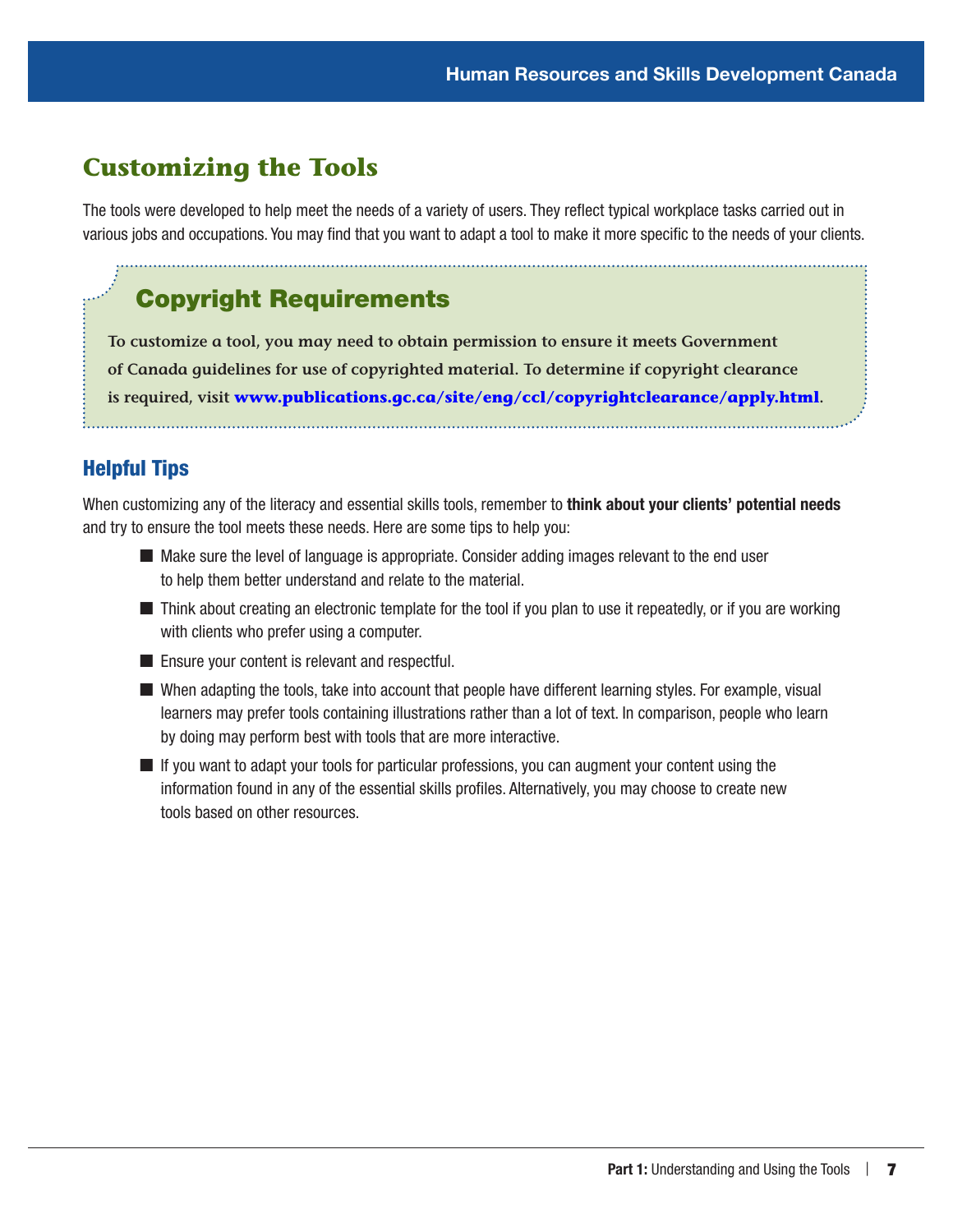## <span id="page-10-0"></span>**Customizing the Tools**

The tools were developed to help meet the needs of a variety of users. They reflect typical workplace tasks carried out in various jobs and occupations. You may find that you want to adapt a tool to make it more specific to the needs of your clients.

# Copyright Requirements

**To customize a tool, you may need to obtain permission to ensure it meets Government of Canada guidelines for use of copyrighted material. To determine if copyright clearance is required, visit [www.publications.gc.ca/site/eng/ccl/copyrightclearance/apply.html](http://www.publications.gc.ca/site/eng/ccl/copyrightclearance/apply.html).** 

## Helpful Tips

When customizing any of the literacy and essential skills tools, remember to think about your clients' potential needs and try to ensure the tool meets these needs. Here are some tips to help you:

- $\blacksquare$  Make sure the level of language is appropriate. Consider adding images relevant to the end user to help them better understand and relate to the material.
- Think about creating an electronic template for the tool if you plan to use it repeatedly, or if you are working with clients who prefer using a computer.
- Ensure your content is relevant and respectful.
- When adapting the tools, take into account that people have different learning styles. For example, visual learners may prefer tools containing illustrations rather than a lot of text. In comparison, people who learn by doing may perform best with tools that are more interactive.
- $\blacksquare$  If you want to adapt your tools for particular professions, you can augment your content using the information found in any of the essential skills profiles. Alternatively, you may choose to create new tools based on other resources.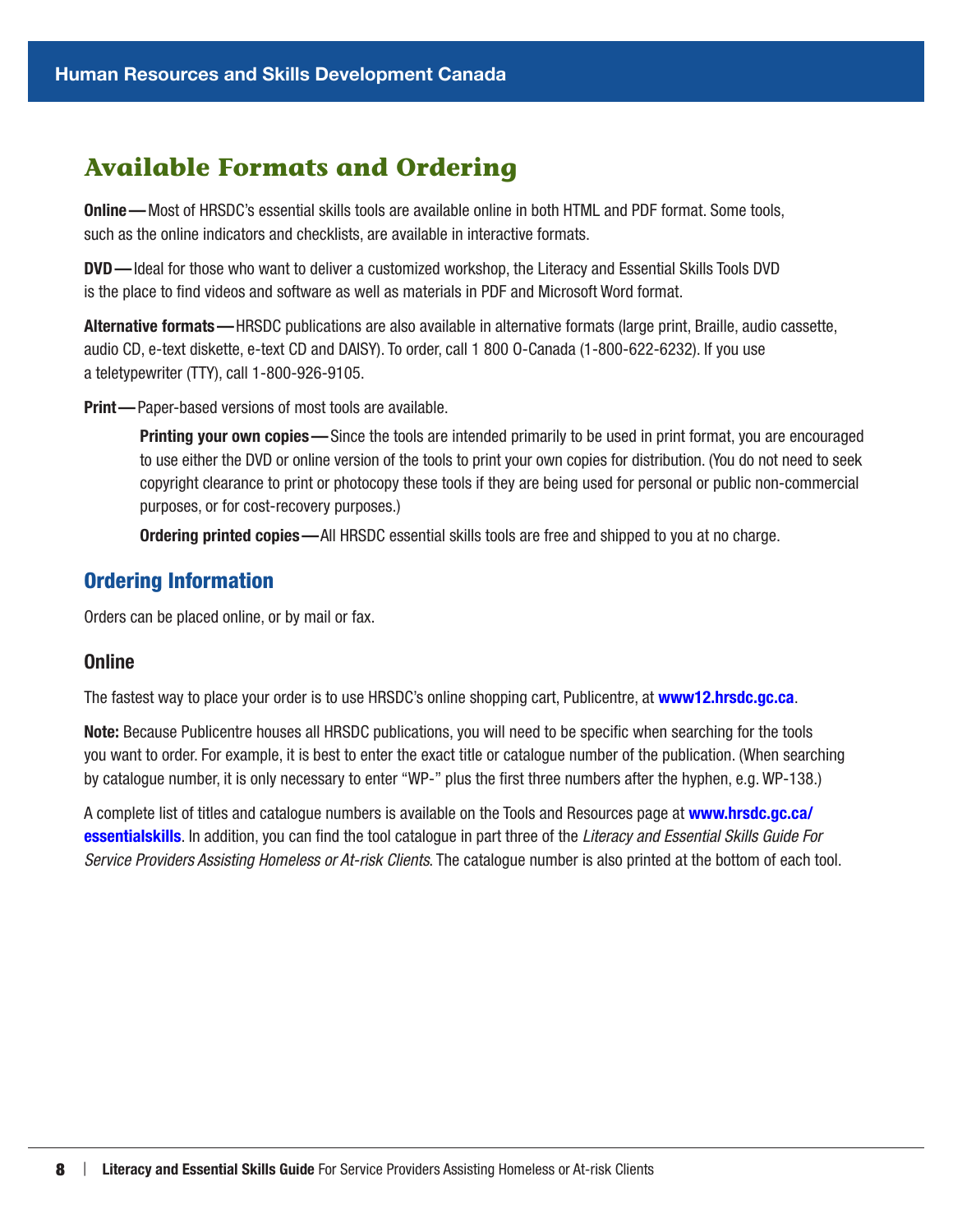## <span id="page-11-0"></span>**Available Formats and Ordering**

Online—Most of HRSDC's essential skills tools are available online in both HTML and PDF format. Some tools, such as the online indicators and checklists, are available in interactive formats.

DVD—Ideal for those who want to deliver a customized workshop, the Literacy and Essential Skills Tools DVD is the place to find videos and software as well as materials in PDF and Microsoft Word format.

Alternative formats—HRSDC publications are also available in alternative formats (large print, Braille, audio cassette, audio CD, e-text diskette, e-text CD and DAISY). To order, call 1 800 O-Canada (1-800-622-6232). If you use a teletypewriter (TTY), call 1-800-926-9105.

Print—Paper-based versions of most tools are available.

Printing your own copies—Since the tools are intended primarily to be used in print format, you are encouraged to use either the DVD or online version of the tools to print your own copies for distribution. (You do not need to seek copyright clearance to print or photocopy these tools if they are being used for personal or public non-commercial purposes, or for cost-recovery purposes.)

Ordering printed copies—All HRSDC essential skills tools are free and shipped to you at no charge.

### Ordering Information

Orders can be placed online, or by mail or fax.

#### Online

The fastest way to place your order is to use HRSDC's online shopping cart, Publicentre, at **[www12.hrsdc.gc.ca](http://www12.hrsdc.gc.ca)**.

Note: Because Publicentre houses all HRSDC publications, you will need to be specific when searching for the tools you want to order. For example, it is best to enter the exact title or catalogue number of the publication. (When searching by catalogue number, it is only necessary to enter "WP-" plus the first three numbers after the hyphen, e.g. WP-138.)

A complete list of titles and catalogue numbers is available on the Tools and Resources page at [www.hrsdc.gc.ca/](http://www.hrsdc.gc.ca/essentialskills) [essentialskills](http://www.hrsdc.gc.ca/essentialskills). In addition, you can find the tool catalogue in part three of the *Literacy and Essential Skills Guide For Service Providers Assisting Homeless or At-risk Clients*. The catalogue number is also printed at the bottom of each tool.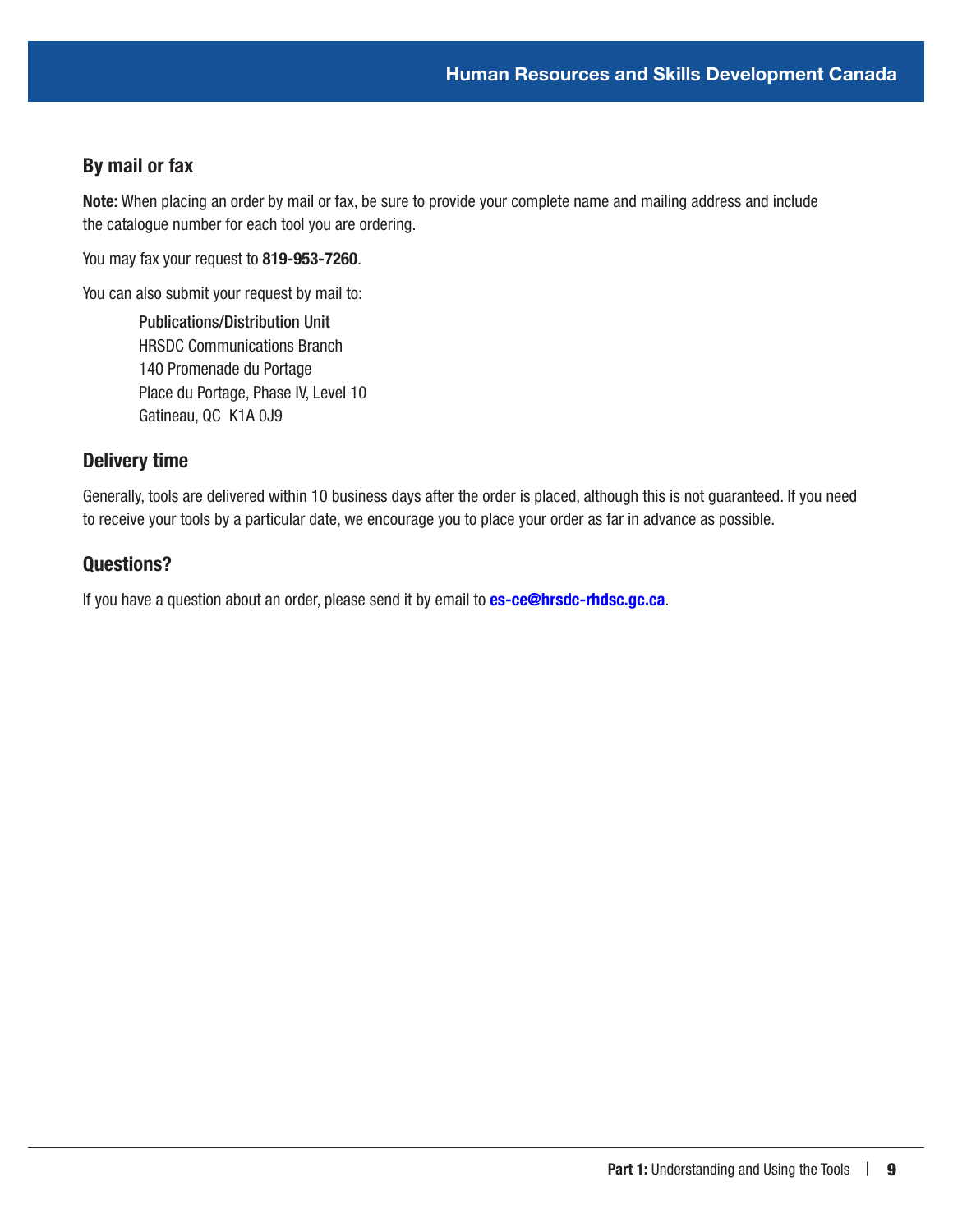### By mail or fax

Note: When placing an order by mail or fax, be sure to provide your complete name and mailing address and include the catalogue number for each tool you are ordering.

You may fax your request to 819-953-7260.

You can also submit your request by mail to:

Publications/Distribution Unit HRSDC Communications Branch 140 Promenade du Portage Place du Portage, Phase IV, Level 10 Gatineau, QC K1A 0J9

#### Delivery time

Generally, tools are delivered within 10 business days after the order is placed, although this is not guaranteed. If you need to receive your tools by a particular date, we encourage you to place your order as far in advance as possible.

#### Questions?

If you have a question about an order, please send it by email to **[es-ce@hrsdc-rhdsc.gc.ca](mailto:es-ce%40hrsdc-rhdsc.gc.ca?subject=)**.